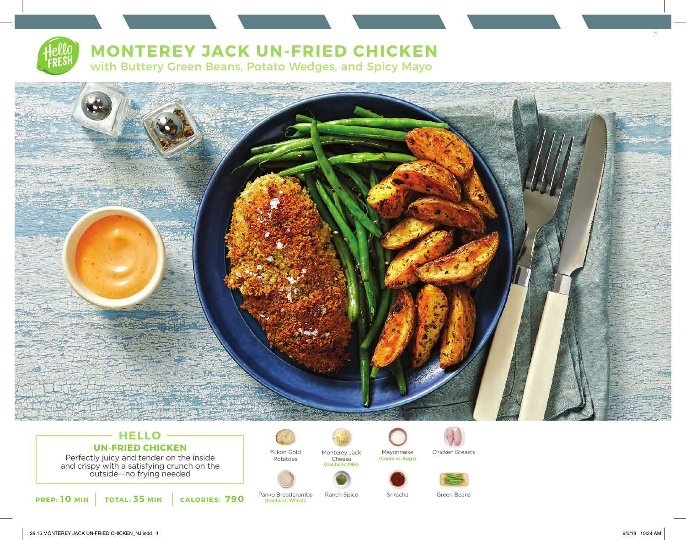

# **MONTEREY JACK UN-FRIED CHICKEN**

with Buttery Green Beans, Potato Wedges, and Spicy Mayo



# **HELLO UN-FRIED CHICKEN**

Perfectly juicy and tender on the inside and crispy with a satisfying crunch on the outside—no frying needed





Yukon Gold Potatoes

Panko Breadcrumbs Ranch Spice (Contains: Wheat)



(Contains: Milk)

(Contains: Eggs)



Mayonnaise Chicken Breasts



Sriracha Green Beans



15